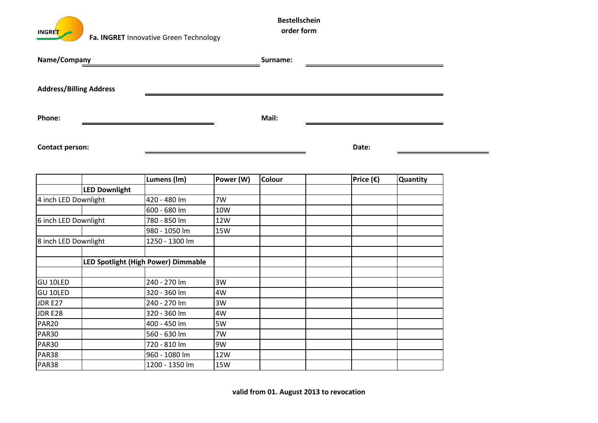**INGRE<mark>T</mark>** 

| Name/Company           |                                |                                     |            | Surname: |                    |          |  |
|------------------------|--------------------------------|-------------------------------------|------------|----------|--------------------|----------|--|
|                        | <b>Address/Billing Address</b> |                                     |            |          |                    |          |  |
| Phone:                 |                                |                                     |            | Mail:    |                    |          |  |
| <b>Contact person:</b> |                                |                                     |            |          | Date:              |          |  |
|                        |                                | Lumens (Im)                         | Power (W)  | Colour   | Price $(\epsilon)$ | Quantity |  |
|                        | <b>LED Downlight</b>           |                                     |            |          |                    |          |  |
| 4 inch LED Downlight   |                                | 420 - 480 lm                        | 7W         |          |                    |          |  |
|                        |                                | 600 - 680 lm                        | 10W        |          |                    |          |  |
| 6 inch LED Downlight   |                                | 780 - 850 lm                        | 12W        |          |                    |          |  |
|                        |                                | 980 - 1050 lm                       | <b>15W</b> |          |                    |          |  |
| 8 inch LED Downlight   |                                | 1250 - 1300 lm                      |            |          |                    |          |  |
|                        |                                | LED Spotlight (High Power) Dimmable |            |          |                    |          |  |
| <b>GU 10LED</b>        |                                | 240 - 270 lm                        | 3W         |          |                    |          |  |
| <b>GU 10LED</b>        |                                | 320 - 360 lm                        | 4W         |          |                    |          |  |
| JDR E27                |                                | 240 - 270 lm                        | 3W         |          |                    |          |  |
| JDR E28                |                                | 320 - 360 lm                        | 4W         |          |                    |          |  |
| <b>PAR20</b>           |                                | 400 - 450 lm                        | 5W         |          |                    |          |  |
| <b>PAR30</b>           |                                | 560 - 630 lm                        | 7W         |          |                    |          |  |
| <b>PAR30</b>           |                                | 720 - 810 lm                        | 9W         |          |                    |          |  |
| <b>PAR38</b>           |                                | 960 - 1080 lm                       | 12W        |          |                    |          |  |
| PAR38                  |                                | 1200 - 1350 lm                      | <b>15W</b> |          |                    |          |  |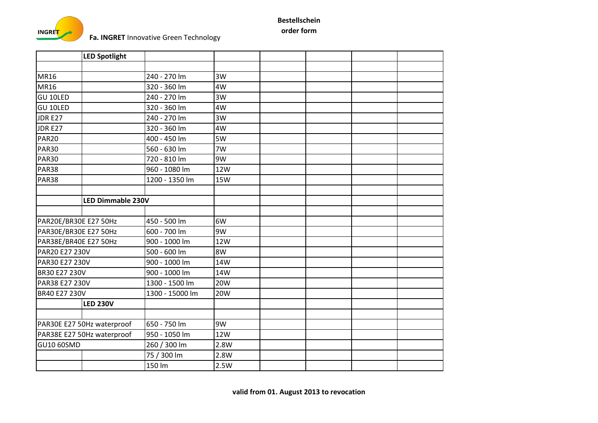

|                       | <b>LED Spotlight</b>       |                 |            |  |  |
|-----------------------|----------------------------|-----------------|------------|--|--|
|                       |                            |                 |            |  |  |
| <b>MR16</b>           |                            | 240 - 270 lm    | 3W         |  |  |
| <b>MR16</b>           |                            | 320 - 360 lm    | 4W         |  |  |
| <b>GU 10LED</b>       |                            | 240 - 270 lm    | 3W         |  |  |
| <b>GU 10LED</b>       |                            | 320 - 360 lm    | 4W         |  |  |
| <b>JDR E27</b>        |                            | 240 - 270 lm    | 3W         |  |  |
| JDR E27               |                            | 320 - 360 lm    | 4W         |  |  |
| <b>PAR20</b>          |                            | 400 - 450 lm    | 5W         |  |  |
| <b>PAR30</b>          |                            | 560 - 630 lm    | 7W         |  |  |
| <b>PAR30</b>          |                            | 720 - 810 lm    | 9W         |  |  |
| <b>PAR38</b>          |                            | 960 - 1080 lm   | 12W        |  |  |
| PAR38                 |                            | 1200 - 1350 lm  | <b>15W</b> |  |  |
|                       |                            |                 |            |  |  |
|                       | <b>LED Dimmable 230V</b>   |                 |            |  |  |
|                       |                            |                 |            |  |  |
| PAR20E/BR30E E27 50Hz |                            | 450 - 500 lm    | 6W         |  |  |
| PAR30E/BR30E E27 50Hz |                            | 600 - 700 lm    | 9W         |  |  |
| PAR38E/BR40E E27 50Hz |                            | 900 - 1000 lm   | <b>12W</b> |  |  |
| PAR20 E27 230V        |                            | 500 - 600 lm    | 8W         |  |  |
| PAR30 E27 230V        |                            | 900 - 1000 lm   | 14W        |  |  |
| <b>BR30 E27 230V</b>  |                            | 900 - 1000 lm   | 14W        |  |  |
| PAR38 E27 230V        |                            | 1300 - 1500 lm  | <b>20W</b> |  |  |
| BR40 E27 230V         |                            | 1300 - 15000 lm | <b>20W</b> |  |  |
|                       | <b>LED 230V</b>            |                 |            |  |  |
|                       |                            |                 |            |  |  |
|                       | PAR30E E27 50Hz waterproof | 650 - 750 lm    | 9W         |  |  |
|                       | PAR38E E27 50Hz waterproof | 950 - 1050 lm   | 12W        |  |  |
| GU10 60SMD            |                            | 260 / 300 lm    | 2.8W       |  |  |
|                       |                            | 75 / 300 lm     | 2.8W       |  |  |
|                       |                            | 150 lm          | 2.5W       |  |  |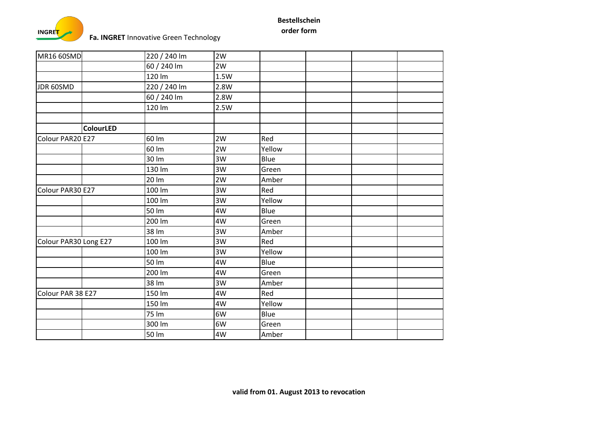

| <b>MR16 60SMD</b>     |                  | 220 / 240 lm | 2W   |        |  |  |
|-----------------------|------------------|--------------|------|--------|--|--|
|                       |                  | 60 / 240 lm  | 2W   |        |  |  |
|                       |                  | 120 lm       | 1.5W |        |  |  |
| JDR 60SMD             |                  | 220 / 240 lm | 2.8W |        |  |  |
|                       |                  | 60 / 240 lm  | 2.8W |        |  |  |
|                       |                  | 120 lm       | 2.5W |        |  |  |
|                       |                  |              |      |        |  |  |
|                       | <b>ColourLED</b> |              |      |        |  |  |
| Colour PAR20 E27      |                  | 60 lm        | 2W   | Red    |  |  |
|                       |                  | 60 lm        | 2W   | Yellow |  |  |
|                       |                  | 30 lm        | 3W   | Blue   |  |  |
|                       |                  | 130 lm       | 3W   | Green  |  |  |
|                       |                  | 20 lm        | 2W   | Amber  |  |  |
| Colour PAR30 E27      |                  | 100 lm       | 3W   | Red    |  |  |
|                       |                  | 100 lm       | 3W   | Yellow |  |  |
|                       |                  | 50 lm        | 4W   | Blue   |  |  |
|                       |                  | 200 lm       | 4W   | Green  |  |  |
|                       |                  | 38 lm        | 3W   | Amber  |  |  |
| Colour PAR30 Long E27 |                  | 100 lm       | 3W   | Red    |  |  |
|                       |                  | 100 lm       | 3W   | Yellow |  |  |
|                       |                  | 50 lm        | 4W   | Blue   |  |  |
|                       |                  | 200 lm       | 4W   | Green  |  |  |
|                       |                  | 38 lm        | 3W   | Amber  |  |  |
| Colour PAR 38 E27     |                  | 150 lm       | 4W   | Red    |  |  |
|                       |                  | 150 lm       | 4W   | Yellow |  |  |
|                       |                  | 75 lm        | 6W   | Blue   |  |  |
|                       |                  | 300 lm       | 6W   | Green  |  |  |
|                       |                  | 50 lm        | 4W   | Amber  |  |  |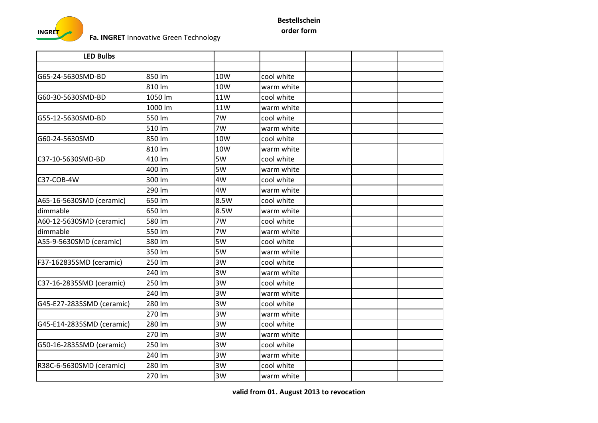

|                         | <b>LED Bulbs</b>          |         |      |            |  |  |
|-------------------------|---------------------------|---------|------|------------|--|--|
|                         |                           |         |      |            |  |  |
| G65-24-5630SMD-BD       |                           | 850 lm  | 10W  | cool white |  |  |
|                         |                           | 810 lm  | 10W  | warm white |  |  |
| G60-30-5630SMD-BD       |                           | 1050 lm | 11W  | cool white |  |  |
|                         |                           | 1000 lm | 11W  | warm white |  |  |
| G55-12-5630SMD-BD       |                           | 550 lm  | 7W   | cool white |  |  |
|                         |                           | 510 lm  | 7W   | warm white |  |  |
| G60-24-5630SMD          |                           | 850 lm  | 10W  | cool white |  |  |
|                         |                           | 810 lm  | 10W  | warm white |  |  |
| C37-10-5630SMD-BD       |                           | 410 lm  | 5W   | cool white |  |  |
|                         |                           | 400 lm  | 5W   | warm white |  |  |
| C37-COB-4W              |                           | 300 lm  | 4W   | cool white |  |  |
|                         |                           | 290 lm  | 4W   | warm white |  |  |
|                         | A65-16-5630SMD (ceramic)  | 650 lm  | 8.5W | cool white |  |  |
| dimmable                |                           | 650 lm  | 8.5W | warm white |  |  |
|                         | A60-12-5630SMD (ceramic)  | 580 lm  | 7W   | cool white |  |  |
| dimmable                |                           | 550 lm  | 7W   | warm white |  |  |
| A55-9-5630SMD (ceramic) |                           | 380 lm  | 5W   | cool white |  |  |
|                         |                           | 350 lm  | 5W   | warm white |  |  |
| F37-162835SMD (ceramic) |                           | 250 lm  | 3W   | cool white |  |  |
|                         |                           | 240 lm  | 3W   | warm white |  |  |
|                         | C37-16-2835SMD (ceramic)  | 250 lm  | 3W   | cool white |  |  |
|                         |                           | 240 lm  | 3W   | warm white |  |  |
|                         | G45-E27-2835SMD (ceramic) | 280 lm  | 3W   | cool white |  |  |
|                         |                           | 270 lm  | 3W   | warm white |  |  |
|                         | G45-E14-2835SMD (ceramic) | 280 lm  | 3W   | cool white |  |  |
|                         |                           | 270 lm  | 3W   | warm white |  |  |
|                         | G50-16-2835SMD (ceramic)  | 250 lm  | 3W   | cool white |  |  |
|                         |                           | 240 lm  | 3W   | warm white |  |  |
|                         | R38C-6-5630SMD (ceramic)  | 280 lm  | 3W   | cool white |  |  |
|                         |                           | 270 lm  | 3W   | warm white |  |  |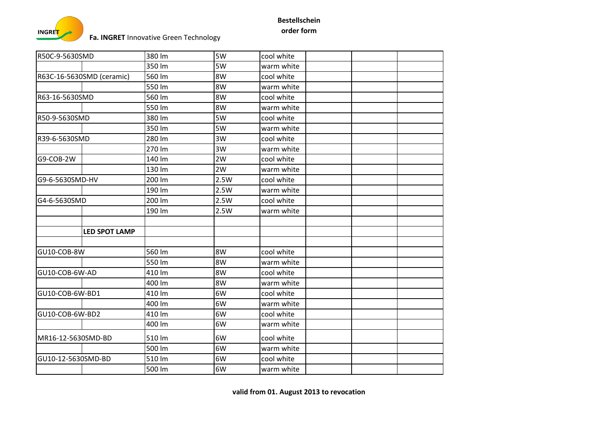

| R50C-9-5630SMD            | 380 lm | 5W   | cool white |  |
|---------------------------|--------|------|------------|--|
|                           | 350 lm | 5W   | warm white |  |
| R63C-16-5630SMD (ceramic) | 560 lm | 8W   | cool white |  |
|                           | 550 lm | 8W   | warm white |  |
| R63-16-5630SMD            | 560 lm | 8W   | cool white |  |
|                           | 550 lm | 8W   | warm white |  |
| R50-9-5630SMD             | 380 lm | 5W   | cool white |  |
|                           | 350 lm | 5W   | warm white |  |
| R39-6-5630SMD             | 280 lm | 3W   | cool white |  |
|                           | 270 lm | 3W   | warm white |  |
| G9-COB-2W                 | 140 lm | 2W   | cool white |  |
|                           | 130 lm | 2W   | warm white |  |
| G9-6-5630SMD-HV           | 200 lm | 2.5W | cool white |  |
|                           | 190 lm | 2.5W | warm white |  |
| G4-6-5630SMD              | 200 lm | 2.5W | cool white |  |
|                           | 190 lm | 2.5W | warm white |  |
|                           |        |      |            |  |
| <b>LED SPOT LAMP</b>      |        |      |            |  |
|                           |        |      |            |  |
| GU10-COB-8W               | 560 lm | 8W   | cool white |  |
|                           | 550 lm | 8W   | warm white |  |
| GU10-COB-6W-AD            | 410 lm | 8W   | cool white |  |
|                           | 400 lm | 8W   | warm white |  |
| GU10-COB-6W-BD1           | 410 lm | 6W   | cool white |  |
|                           | 400 lm | 6W   | warm white |  |
| GU10-COB-6W-BD2           | 410 lm | 6W   | cool white |  |
|                           | 400 lm | 6W   | warm white |  |
| MR16-12-5630SMD-BD        | 510 lm | 6W   | cool white |  |
|                           | 500 lm | 6W   | warm white |  |
| GU10-12-5630SMD-BD        | 510 lm | 6W   | cool white |  |
|                           | 500 lm | 6W   | warm white |  |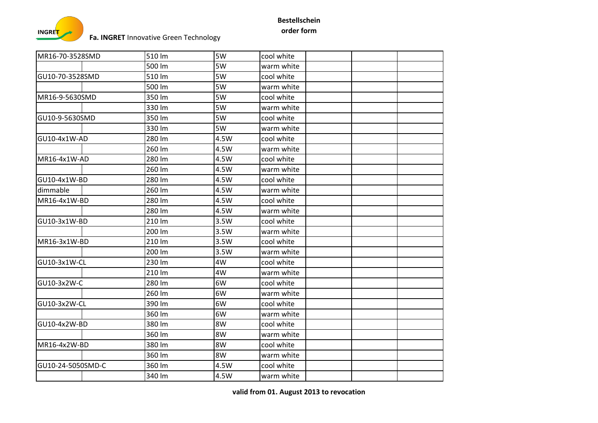

| MR16-70-3528SMD   | 510 lm | 5W   | cool white |  |
|-------------------|--------|------|------------|--|
|                   | 500 lm | 5W   | warm white |  |
| GU10-70-3528SMD   | 510 lm | 5W   | cool white |  |
|                   | 500 lm | 5W   | warm white |  |
| MR16-9-5630SMD    | 350 lm | 5W   | cool white |  |
|                   | 330 lm | 5W   | warm white |  |
| GU10-9-5630SMD    | 350 lm | 5W   | cool white |  |
|                   | 330 lm | 5W   | warm white |  |
| GU10-4x1W-AD      | 280 lm | 4.5W | cool white |  |
|                   | 260 lm | 4.5W | warm white |  |
| MR16-4x1W-AD      | 280 lm | 4.5W | cool white |  |
|                   | 260 lm | 4.5W | warm white |  |
| GU10-4x1W-BD      | 280 lm | 4.5W | cool white |  |
| dimmable          | 260 lm | 4.5W | warm white |  |
| MR16-4x1W-BD      | 280 lm | 4.5W | cool white |  |
|                   | 280 lm | 4.5W | warm white |  |
| GU10-3x1W-BD      | 210 lm | 3.5W | cool white |  |
|                   | 200 lm | 3.5W | warm white |  |
| MR16-3x1W-BD      | 210 lm | 3.5W | cool white |  |
|                   | 200 lm | 3.5W | warm white |  |
| GU10-3x1W-CL      | 230 lm | 4W   | cool white |  |
|                   | 210 lm | 4W   | warm white |  |
| GU10-3x2W-C       | 280 lm | 6W   | cool white |  |
|                   | 260 lm | 6W   | warm white |  |
| GU10-3x2W-CL      | 390 lm | 6W   | cool white |  |
|                   | 360 lm | 6W   | warm white |  |
| GU10-4x2W-BD      | 380 lm | 8W   | cool white |  |
|                   | 360 lm | 8W   | warm white |  |
| MR16-4x2W-BD      | 380 lm | 8W   | cool white |  |
|                   | 360 lm | 8W   | warm white |  |
| GU10-24-5050SMD-C | 360 lm | 4.5W | cool white |  |
|                   | 340 lm | 4.5W | warm white |  |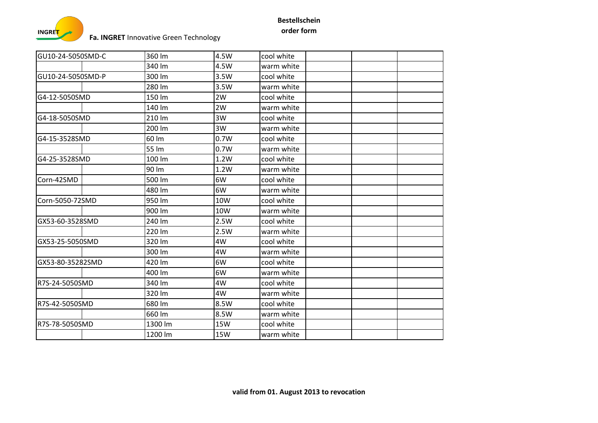

| GU10-24-5050SMD-C | 360 lm  | 4.5W       | cool white |  |
|-------------------|---------|------------|------------|--|
|                   | 340 lm  | 4.5W       | warm white |  |
| GU10-24-5050SMD-P | 300 lm  | 3.5W       | cool white |  |
|                   | 280 lm  | 3.5W       | warm white |  |
| G4-12-5050SMD     | 150 lm  | 2W         | cool white |  |
|                   | 140 lm  | 2W         | warm white |  |
| G4-18-5050SMD     | 210 lm  | 3W         | cool white |  |
|                   | 200 lm  | 3W         | warm white |  |
| G4-15-3528SMD     | 60 lm   | 0.7W       | cool white |  |
|                   | 55 lm   | 0.7W       | warm white |  |
| G4-25-3528SMD     | 100 lm  | 1.2W       | cool white |  |
|                   | 90 lm   | 1.2W       | warm white |  |
| Corn-42SMD        | 500 lm  | 6W         | cool white |  |
|                   | 480 lm  | 6W         | warm white |  |
| Corn-5050-72SMD   | 950 lm  | 10W        | cool white |  |
|                   | 900 lm  | 10W        | warm white |  |
| GX53-60-3528SMD   | 240 lm  | 2.5W       | cool white |  |
|                   | 220 lm  | 2.5W       | warm white |  |
| GX53-25-5050SMD   | 320 lm  | 4W         | cool white |  |
|                   | 300 lm  | 4W         | warm white |  |
| GX53-80-35282SMD  | 420 lm  | 6W         | cool white |  |
|                   | 400 lm  | 6W         | warm white |  |
| R7S-24-5050SMD    | 340 lm  | 4W         | cool white |  |
|                   | 320 lm  | 4W         | warm white |  |
| R7S-42-5050SMD    | 680 lm  | 8.5W       | cool white |  |
|                   | 660 lm  | 8.5W       | warm white |  |
| R7S-78-5050SMD    | 1300 lm | 15W        | cool white |  |
|                   | 1200 lm | <b>15W</b> | warm white |  |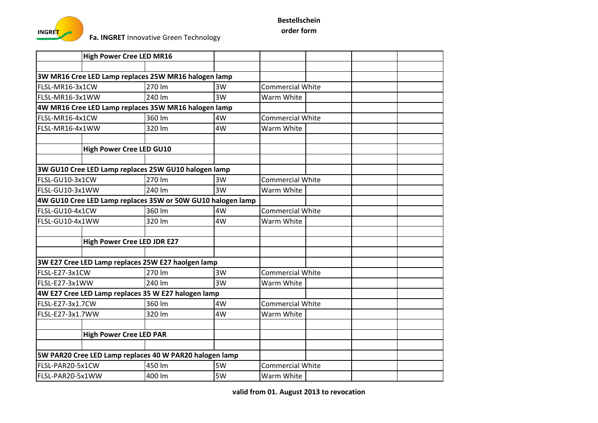

|                  | <b>High Power Cree LED MR16</b>    |                                                             |    |                         |  |  |
|------------------|------------------------------------|-------------------------------------------------------------|----|-------------------------|--|--|
|                  |                                    |                                                             |    |                         |  |  |
|                  |                                    | 3W MR16 Cree LED Lamp replaces 25W MR16 halogen lamp        |    |                         |  |  |
| FLSL-MR16-3x1CW  |                                    | 270 lm                                                      | 3W | <b>Commercial White</b> |  |  |
| FLSL-MR16-3x1WW  |                                    | 240 lm                                                      | 3W | Warm White              |  |  |
|                  |                                    | 4W MR16 Cree LED Lamp replaces 35W MR16 halogen lamp        |    |                         |  |  |
| FLSL-MR16-4x1CW  |                                    | 360 lm                                                      | 4W | <b>Commercial White</b> |  |  |
| FLSL-MR16-4x1WW  |                                    | 320 lm                                                      | 4W | Warm White              |  |  |
|                  |                                    |                                                             |    |                         |  |  |
|                  | <b>High Power Cree LED GU10</b>    |                                                             |    |                         |  |  |
|                  |                                    |                                                             |    |                         |  |  |
|                  |                                    | 3W GU10 Cree LED Lamp replaces 25W GU10 halogen lamp        |    |                         |  |  |
| FLSL-GU10-3x1CW  |                                    | 270 lm                                                      | 3W | <b>Commercial White</b> |  |  |
| FLSL-GU10-3x1WW  |                                    | 240 lm                                                      | 3W | Warm White              |  |  |
|                  |                                    | 4W GU10 Cree LED Lamp replaces 35W or 50W GU10 halogen lamp |    |                         |  |  |
| FLSL-GU10-4x1CW  |                                    | 360 lm                                                      | 4W | <b>Commercial White</b> |  |  |
| FLSL-GU10-4x1WW  |                                    | 320 lm                                                      | 4W | Warm White              |  |  |
|                  |                                    |                                                             |    |                         |  |  |
|                  | <b>High Power Cree LED JDR E27</b> |                                                             |    |                         |  |  |
|                  |                                    |                                                             |    |                         |  |  |
|                  |                                    | 3W E27 Cree LED Lamp replaces 25W E27 haolgen lamp          |    |                         |  |  |
| FLSL-E27-3x1CW   |                                    | 270 lm                                                      | 3W | <b>Commercial White</b> |  |  |
| FLSL-E27-3x1WW   |                                    | 240 lm                                                      | 3W | Warm White              |  |  |
|                  |                                    | 4W E27 Cree LED Lamp replaces 35 W E27 halogen lamp         |    |                         |  |  |
| FLSL-E27-3x1.7CW |                                    | 360 lm                                                      | 4W | <b>Commercial White</b> |  |  |
| FLSL-E27-3x1.7WW |                                    | 320 lm                                                      | 4W | Warm White              |  |  |
|                  |                                    |                                                             |    |                         |  |  |
|                  | <b>High Power Cree LED PAR</b>     |                                                             |    |                         |  |  |
|                  |                                    |                                                             |    |                         |  |  |
|                  |                                    | 5W PAR20 Cree LED Lamp replaces 40 W PAR20 halogen lamp     |    |                         |  |  |
| FLSL-PAR20-5x1CW |                                    | 450 lm                                                      | 5W | <b>Commercial White</b> |  |  |
| FLSL-PAR20-5x1WW |                                    | 400 lm                                                      | 5W | Warm White              |  |  |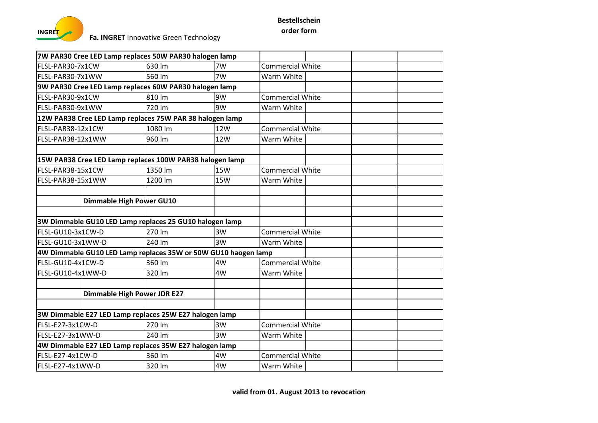

|                                                        |                                    | 7W PAR30 Cree LED Lamp replaces 50W PAR30 halogen lamp         |            |                         |  |  |
|--------------------------------------------------------|------------------------------------|----------------------------------------------------------------|------------|-------------------------|--|--|
| FLSL-PAR30-7x1CW                                       |                                    | 630 lm                                                         | 7W         | <b>Commercial White</b> |  |  |
| FLSL-PAR30-7x1WW                                       |                                    | 560 lm                                                         | 7W         | Warm White              |  |  |
| 9W PAR30 Cree LED Lamp replaces 60W PAR30 halogen lamp |                                    |                                                                |            |                         |  |  |
| FLSL-PAR30-9x1CW                                       |                                    | 810 Im                                                         | 9W         | <b>Commercial White</b> |  |  |
| FLSL-PAR30-9x1WW                                       |                                    | 720 lm                                                         | 9W         | Warm White              |  |  |
|                                                        |                                    | 12W PAR38 Cree LED Lamp replaces 75W PAR 38 halogen lamp       |            |                         |  |  |
| FLSL-PAR38-12x1CW                                      |                                    | 1080 lm                                                        | 12W        | <b>Commercial White</b> |  |  |
| FLSL-PAR38-12x1WW                                      |                                    | 960 lm                                                         | 12W        | Warm White              |  |  |
|                                                        |                                    |                                                                |            |                         |  |  |
|                                                        |                                    | 15W PAR38 Cree LED Lamp replaces 100W PAR38 halogen lamp       |            |                         |  |  |
| FLSL-PAR38-15x1CW                                      |                                    | 1350 lm                                                        | <b>15W</b> | <b>Commercial White</b> |  |  |
| FLSL-PAR38-15x1WW                                      |                                    | 1200 lm                                                        | 15W        | Warm White              |  |  |
|                                                        |                                    |                                                                |            |                         |  |  |
|                                                        | <b>Dimmable High Power GU10</b>    |                                                                |            |                         |  |  |
|                                                        |                                    |                                                                |            |                         |  |  |
|                                                        |                                    | 3W Dimmable GU10 LED Lamp replaces 25 GU10 halogen lamp        |            |                         |  |  |
| FLSL-GU10-3x1CW-D                                      |                                    | 270 lm                                                         | 3W         | <b>Commercial White</b> |  |  |
| FLSL-GU10-3x1WW-D                                      |                                    | 240 lm                                                         | 3W         | Warm White              |  |  |
|                                                        |                                    | 4W Dimmable GU10 LED Lamp replaces 35W or 50W GU10 haogen lamp |            |                         |  |  |
| FLSL-GU10-4x1CW-D                                      |                                    | 360 lm                                                         | 4W         | <b>Commercial White</b> |  |  |
| FLSL-GU10-4x1WW-D                                      |                                    | 320 lm                                                         | 4W         | Warm White              |  |  |
|                                                        |                                    |                                                                |            |                         |  |  |
|                                                        | <b>Dimmable High Power JDR E27</b> |                                                                |            |                         |  |  |
|                                                        |                                    |                                                                |            |                         |  |  |
|                                                        |                                    | 3W Dimmable E27 LED Lamp replaces 25W E27 halogen lamp         |            |                         |  |  |
| FLSL-E27-3x1CW-D                                       |                                    | 270 lm                                                         | 3W         | <b>Commercial White</b> |  |  |
| FLSL-E27-3x1WW-D                                       |                                    | 240 lm                                                         | 3W         | Warm White              |  |  |
|                                                        |                                    | 4W Dimmable E27 LED Lamp replaces 35W E27 halogen lamp         |            |                         |  |  |
| FLSL-E27-4x1CW-D                                       |                                    | 360 lm                                                         | 4W         | <b>Commercial White</b> |  |  |
| FLSL-E27-4x1WW-D                                       |                                    | 320 lm                                                         | 4W         | Warm White              |  |  |